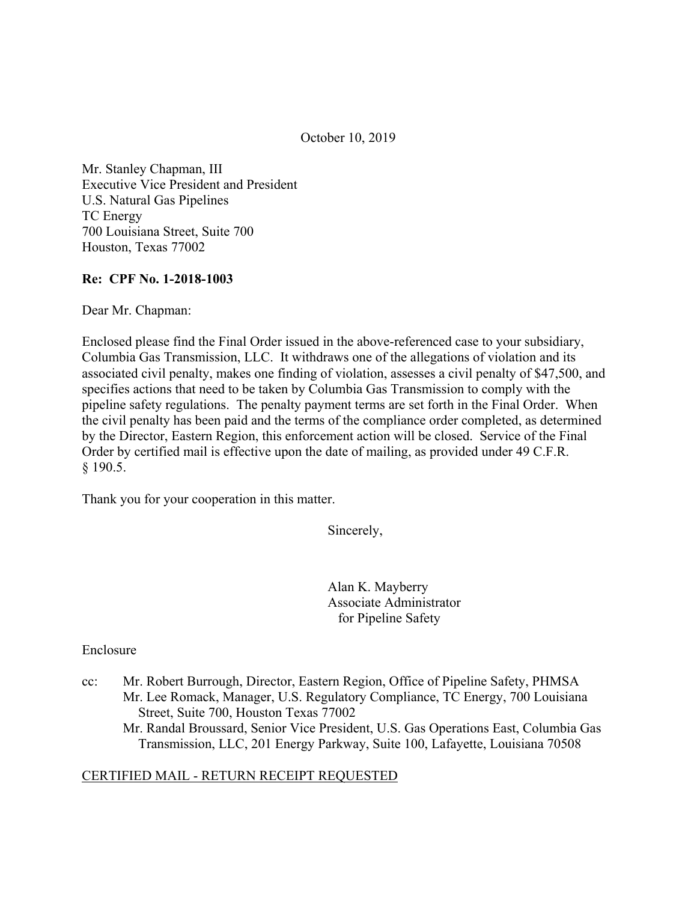October 10, 2019

Mr. Stanley Chapman, III Executive Vice President and President U.S. Natural Gas Pipelines TC Energy 700 Louisiana Street, Suite 700 Houston, Texas 77002

## **Re: CPF No. 1-2018-1003**

Dear Mr. Chapman:

Enclosed please find the Final Order issued in the above-referenced case to your subsidiary, Columbia Gas Transmission, LLC. It withdraws one of the allegations of violation and its associated civil penalty, makes one finding of violation, assesses a civil penalty of \$47,500, and specifies actions that need to be taken by Columbia Gas Transmission to comply with the pipeline safety regulations. The penalty payment terms are set forth in the Final Order. When the civil penalty has been paid and the terms of the compliance order completed, as determined by the Director, Eastern Region, this enforcement action will be closed. Service of the Final Order by certified mail is effective upon the date of mailing, as provided under 49 C.F.R. § 190.5.

Thank you for your cooperation in this matter.

Sincerely,

Alan K. Mayberry Associate Administrator for Pipeline Safety

#### Enclosure

cc: Mr. Robert Burrough, Director, Eastern Region, Office of Pipeline Safety, PHMSA Mr. Lee Romack, Manager, U.S. Regulatory Compliance, TC Energy, 700 Louisiana Street, Suite 700, Houston Texas 77002 Mr. Randal Broussard, Senior Vice President, U.S. Gas Operations East, Columbia Gas Transmission, LLC, 201 Energy Parkway, Suite 100, Lafayette, Louisiana 70508

#### CERTIFIED MAIL - RETURN RECEIPT REQUESTED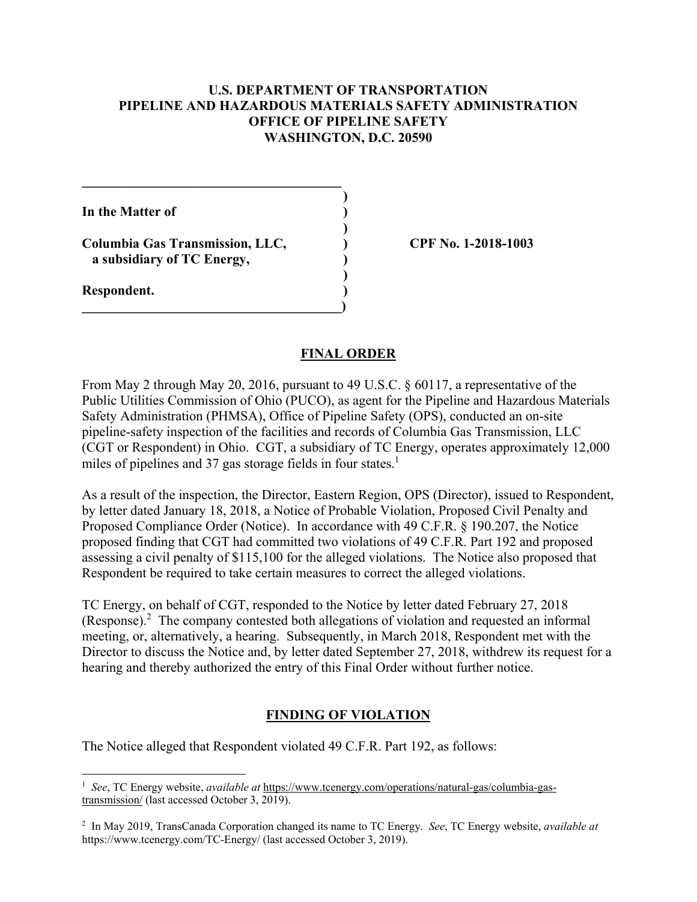## **U.S. DEPARTMENT OF TRANSPORTATION PIPELINE AND HAZARDOUS MATERIALS SAFETY ADMINISTRATION OFFICE OF PIPELINE SAFETY WASHINGTON, D.C. 20590**

**)** 

**)** 

**)** 

**In the Matter of )** 

**Columbia Gas Transmission, LLC, ) CPF No. 1-2018-1003 a subsidiary of TC Energy, )** 

**\_\_\_\_\_\_\_\_\_\_\_\_\_\_\_\_\_\_\_\_\_\_\_\_\_\_\_\_\_\_\_\_\_\_\_\_\_\_** 

 $\overline{\phantom{a}}$ 

**Respondent. )** 

<u>.</u>

### **FINAL ORDER**

From May 2 through May 20, 2016, pursuant to 49 U.S.C. § 60117, a representative of the Public Utilities Commission of Ohio (PUCO), as agent for the Pipeline and Hazardous Materials Safety Administration (PHMSA), Office of Pipeline Safety (OPS), conducted an on-site pipeline-safety inspection of the facilities and records of Columbia Gas Transmission, LLC (CGT or Respondent) in Ohio. CGT, a subsidiary of TC Energy, operates approximately 12,000 miles of pipelines and 37 gas storage fields in four states.<sup>1</sup>

As a result of the inspection, the Director, Eastern Region, OPS (Director), issued to Respondent, by letter dated January 18, 2018, a Notice of Probable Violation, Proposed Civil Penalty and Proposed Compliance Order (Notice). In accordance with 49 C.F.R. § 190.207, the Notice proposed finding that CGT had committed two violations of 49 C.F.R. Part 192 and proposed assessing a civil penalty of \$115,100 for the alleged violations. The Notice also proposed that Respondent be required to take certain measures to correct the alleged violations.

TC Energy, on behalf of CGT, responded to the Notice by letter dated February 27, 2018 (Response). $^2$  The company contested both allegations of violation and requested an informal meeting, or, alternatively, a hearing. Subsequently, in March 2018, Respondent met with the Director to discuss the Notice and, by letter dated September 27, 2018, withdrew its request for a hearing and thereby authorized the entry of this Final Order without further notice.

#### **FINDING OF VIOLATION**

The Notice alleged that Respondent violated 49 C.F.R. Part 192, as follows:

<sup>&</sup>lt;sup>1</sup> See, TC Energy website, *available at* <https://www.tcenergy.com/operations/natural-gas/columbia-gas>transmission/ (last accessed October 3, 2019).

 2 In May 2019, TransCanada Corporation changed its name to TC Energy. *See*, TC Energy website, *available at*  [https://www.tcenergy.com/TC-Energy/](https://www.tcenergy.com/TC-Energy) (last accessed October 3, 2019).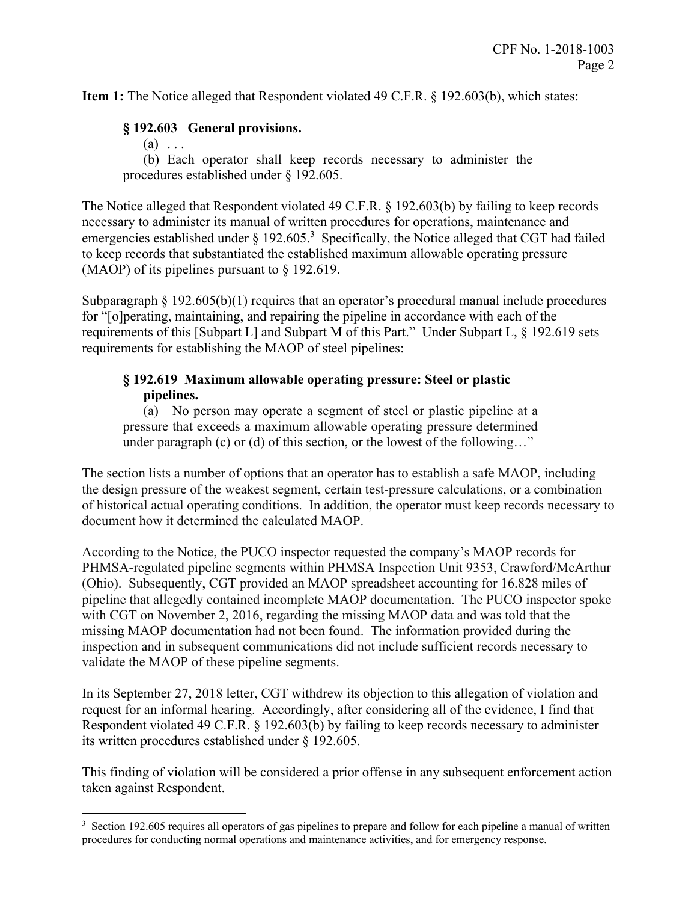**Item 1:** The Notice alleged that Respondent violated 49 C.F.R. § 192.603(b), which states:

### **§ 192.603 General provisions.**

 $(a) \ldots$ 

<u>.</u>

(b) Each operator shall keep records necessary to administer the procedures established under § 192.605.

The Notice alleged that Respondent violated 49 C.F.R. § 192.603(b) by failing to keep records necessary to administer its manual of written procedures for operations, maintenance and emergencies established under  $\S 192.605$ <sup>3</sup> Specifically, the Notice alleged that CGT had failed to keep records that substantiated the established maximum allowable operating pressure (MAOP) of its pipelines pursuant to § 192.619.

Subparagraph § 192.605(b)(1) requires that an operator's procedural manual include procedures for "[o]perating, maintaining, and repairing the pipeline in accordance with each of the requirements of this [Subpart L] and Subpart M of this Part." Under Subpart L, § 192.619 sets requirements for establishing the MAOP of steel pipelines:

## **§ 192.619 Maximum allowable operating pressure: Steel or plastic pipelines.**

(a) No person may operate a segment of steel or plastic pipeline at a pressure that exceeds a maximum allowable operating pressure determined under paragraph (c) or (d) of this section, or the lowest of the following…"

The section lists a number of options that an operator has to establish a safe MAOP, including the design pressure of the weakest segment, certain test-pressure calculations, or a combination of historical actual operating conditions. In addition, the operator must keep records necessary to document how it determined the calculated MAOP.

According to the Notice, the PUCO inspector requested the company's MAOP records for PHMSA-regulated pipeline segments within PHMSA Inspection Unit 9353, Crawford/McArthur (Ohio). Subsequently, CGT provided an MAOP spreadsheet accounting for 16.828 miles of pipeline that allegedly contained incomplete MAOP documentation. The PUCO inspector spoke with CGT on November 2, 2016, regarding the missing MAOP data and was told that the missing MAOP documentation had not been found. The information provided during the inspection and in subsequent communications did not include sufficient records necessary to validate the MAOP of these pipeline segments.

In its September 27, 2018 letter, CGT withdrew its objection to this allegation of violation and request for an informal hearing. Accordingly, after considering all of the evidence, I find that Respondent violated 49 C.F.R. § 192.603(b) by failing to keep records necessary to administer its written procedures established under § 192.605.

This finding of violation will be considered a prior offense in any subsequent enforcement action taken against Respondent.

<sup>&</sup>lt;sup>3</sup> Section 192.605 requires all operators of gas pipelines to prepare and follow for each pipeline a manual of written procedures for conducting normal operations and maintenance activities, and for emergency response.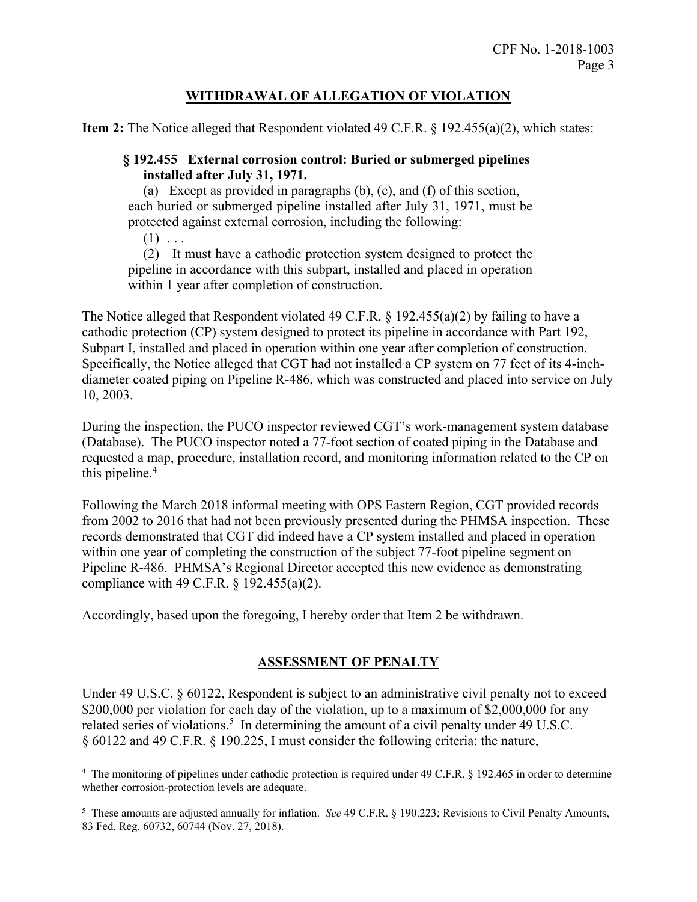# **WITHDRAWAL OF ALLEGATION OF VIOLATION**

**Item 2:** The Notice alleged that Respondent violated 49 C.F.R. § 192.455(a)(2), which states:

## **§ 192.455 External corrosion control: Buried or submerged pipelines installed after July 31, 1971.**

(a) Except as provided in paragraphs (b), (c), and (f) of this section, each buried or submerged pipeline installed after July 31, 1971, must be protected against external corrosion, including the following:

 $(1) \ldots$ 

 $\overline{a}$ 

(2) It must have a cathodic protection system designed to protect the pipeline in accordance with this subpart, installed and placed in operation within 1 year after completion of construction.

The Notice alleged that Respondent violated 49 C.F.R. § 192.455(a)(2) by failing to have a cathodic protection (CP) system designed to protect its pipeline in accordance with Part 192, Subpart I, installed and placed in operation within one year after completion of construction. Specifically, the Notice alleged that CGT had not installed a CP system on 77 feet of its 4-inchdiameter coated piping on Pipeline R-486, which was constructed and placed into service on July 10, 2003.

During the inspection, the PUCO inspector reviewed CGT's work-management system database (Database). The PUCO inspector noted a 77-foot section of coated piping in the Database and requested a map, procedure, installation record, and monitoring information related to the CP on this pipeline.<sup>4</sup>

Following the March 2018 informal meeting with OPS Eastern Region, CGT provided records from 2002 to 2016 that had not been previously presented during the PHMSA inspection. These records demonstrated that CGT did indeed have a CP system installed and placed in operation within one year of completing the construction of the subject 77-foot pipeline segment on Pipeline R-486. PHMSA's Regional Director accepted this new evidence as demonstrating compliance with 49 C.F.R. § 192.455(a)(2).

Accordingly, based upon the foregoing, I hereby order that Item 2 be withdrawn.

# **ASSESSMENT OF PENALTY**

Under 49 U.S.C. § 60122, Respondent is subject to an administrative civil penalty not to exceed \$200,000 per violation for each day of the violation, up to a maximum of \$2,000,000 for any related series of violations.<sup>5</sup> In determining the amount of a civil penalty under 49 U.S.C. § 60122 and 49 C.F.R. § 190.225, I must consider the following criteria: the nature,

<sup>&</sup>lt;sup>4</sup> The monitoring of pipelines under cathodic protection is required under 49 C.F.R. § 192.465 in order to determine whether corrosion-protection levels are adequate.

<sup>5</sup> These amounts are adjusted annually for inflation. *See* 49 C.F.R. § 190.223; Revisions to Civil Penalty Amounts, 83 Fed. Reg. 60732, 60744 (Nov. 27, 2018).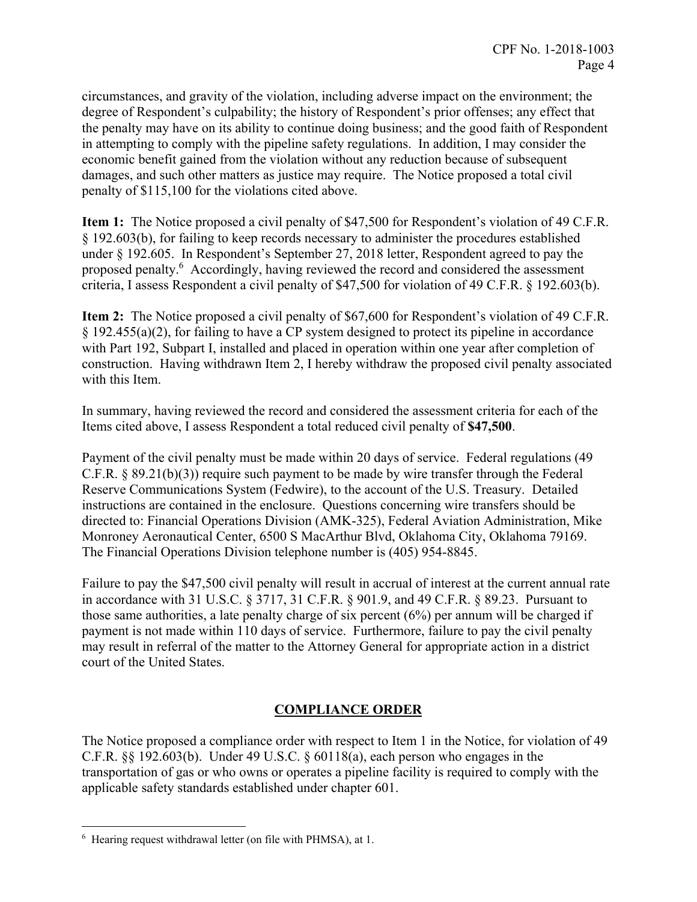circumstances, and gravity of the violation, including adverse impact on the environment; the degree of Respondent's culpability; the history of Respondent's prior offenses; any effect that the penalty may have on its ability to continue doing business; and the good faith of Respondent in attempting to comply with the pipeline safety regulations. In addition, I may consider the economic benefit gained from the violation without any reduction because of subsequent damages, and such other matters as justice may require. The Notice proposed a total civil penalty of \$115,100 for the violations cited above.

**Item 1:** The Notice proposed a civil penalty of \$47,500 for Respondent's violation of 49 C.F.R. § 192.603(b), for failing to keep records necessary to administer the procedures established under § 192.605. In Respondent's September 27, 2018 letter, Respondent agreed to pay the proposed penalty.<sup>6</sup> Accordingly, having reviewed the record and considered the assessment criteria, I assess Respondent a civil penalty of \$47,500 for violation of 49 C.F.R. § 192.603(b).

**Item 2:** The Notice proposed a civil penalty of \$67,600 for Respondent's violation of 49 C.F.R. § 192.455(a)(2), for failing to have a CP system designed to protect its pipeline in accordance with Part 192, Subpart I, installed and placed in operation within one year after completion of construction. Having withdrawn Item 2, I hereby withdraw the proposed civil penalty associated with this Item.

In summary, having reviewed the record and considered the assessment criteria for each of the Items cited above, I assess Respondent a total reduced civil penalty of **\$47,500**.

Payment of the civil penalty must be made within 20 days of service. Federal regulations (49 C.F.R. § 89.21(b)(3)) require such payment to be made by wire transfer through the Federal Reserve Communications System (Fedwire), to the account of the U.S. Treasury. Detailed instructions are contained in the enclosure. Questions concerning wire transfers should be directed to: Financial Operations Division (AMK-325), Federal Aviation Administration, Mike Monroney Aeronautical Center, 6500 S MacArthur Blvd, Oklahoma City, Oklahoma 79169. The Financial Operations Division telephone number is (405) 954-8845.

Failure to pay the \$47,500 civil penalty will result in accrual of interest at the current annual rate in accordance with 31 U.S.C. § 3717, 31 C.F.R. § 901.9, and 49 C.F.R. § 89.23. Pursuant to those same authorities, a late penalty charge of six percent (6%) per annum will be charged if payment is not made within 110 days of service. Furthermore, failure to pay the civil penalty may result in referral of the matter to the Attorney General for appropriate action in a district court of the United States.

# **COMPLIANCE ORDER**

The Notice proposed a compliance order with respect to Item 1 in the Notice, for violation of 49 C.F.R.  $\S$ § 192.603(b). Under 49 U.S.C. § 60118(a), each person who engages in the transportation of gas or who owns or operates a pipeline facility is required to comply with the applicable safety standards established under chapter 601.

 $\overline{a}$ 

<sup>6</sup> Hearing request withdrawal letter (on file with PHMSA), at 1.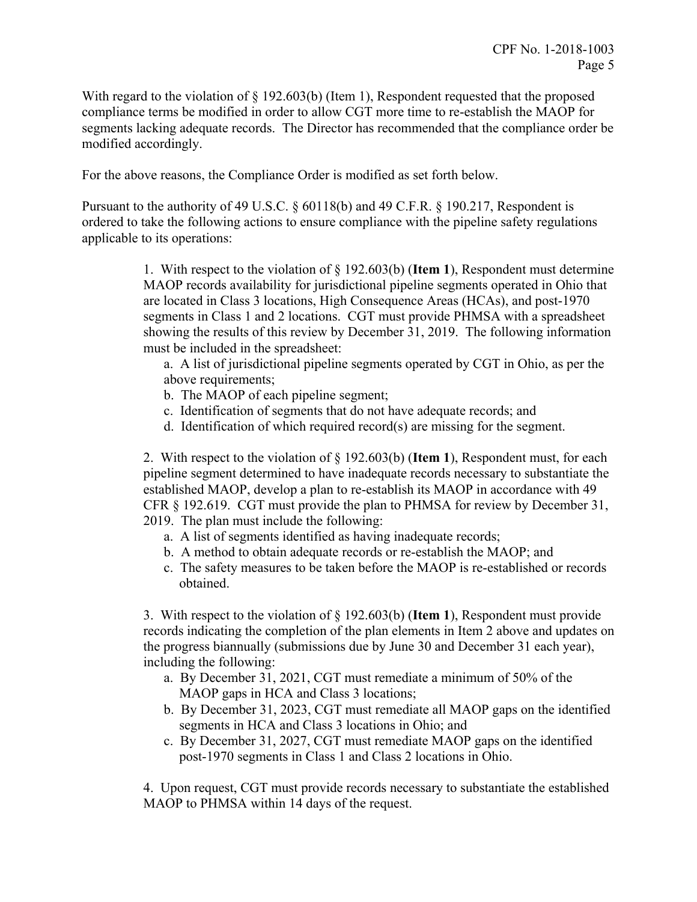With regard to the violation of § 192.603(b) (Item 1), Respondent requested that the proposed compliance terms be modified in order to allow CGT more time to re-establish the MAOP for segments lacking adequate records. The Director has recommended that the compliance order be modified accordingly.

For the above reasons, the Compliance Order is modified as set forth below.

Pursuant to the authority of 49 U.S.C. § 60118(b) and 49 C.F.R. § 190.217, Respondent is ordered to take the following actions to ensure compliance with the pipeline safety regulations applicable to its operations:

> 1. With respect to the violation of § 192.603(b) (**Item 1**), Respondent must determine MAOP records availability for jurisdictional pipeline segments operated in Ohio that are located in Class 3 locations, High Consequence Areas (HCAs), and post-1970 segments in Class 1 and 2 locations. CGT must provide PHMSA with a spreadsheet showing the results of this review by December 31, 2019. The following information must be included in the spreadsheet:

a. A list of jurisdictional pipeline segments operated by CGT in Ohio, as per the above requirements;

- b. The MAOP of each pipeline segment;
- c. Identification of segments that do not have adequate records; and
- d. Identification of which required record(s) are missing for the segment.

2. With respect to the violation of § 192.603(b) (**Item 1**), Respondent must, for each pipeline segment determined to have inadequate records necessary to substantiate the established MAOP, develop a plan to re-establish its MAOP in accordance with 49 CFR § 192.619. CGT must provide the plan to PHMSA for review by December 31, 2019. The plan must include the following:

- a. A list of segments identified as having inadequate records;
- b. A method to obtain adequate records or re-establish the MAOP; and
- c. The safety measures to be taken before the MAOP is re-established or records obtained.

3. With respect to the violation of § 192.603(b) (**Item 1**), Respondent must provide records indicating the completion of the plan elements in Item 2 above and updates on the progress biannually (submissions due by June 30 and December 31 each year), including the following:

- a. By December 31, 2021, CGT must remediate a minimum of 50% of the MAOP gaps in HCA and Class 3 locations;
- b. By December 31, 2023, CGT must remediate all MAOP gaps on the identified segments in HCA and Class 3 locations in Ohio; and
- c. By December 31, 2027, CGT must remediate MAOP gaps on the identified post-1970 segments in Class 1 and Class 2 locations in Ohio.

4. Upon request, CGT must provide records necessary to substantiate the established MAOP to PHMSA within 14 days of the request.